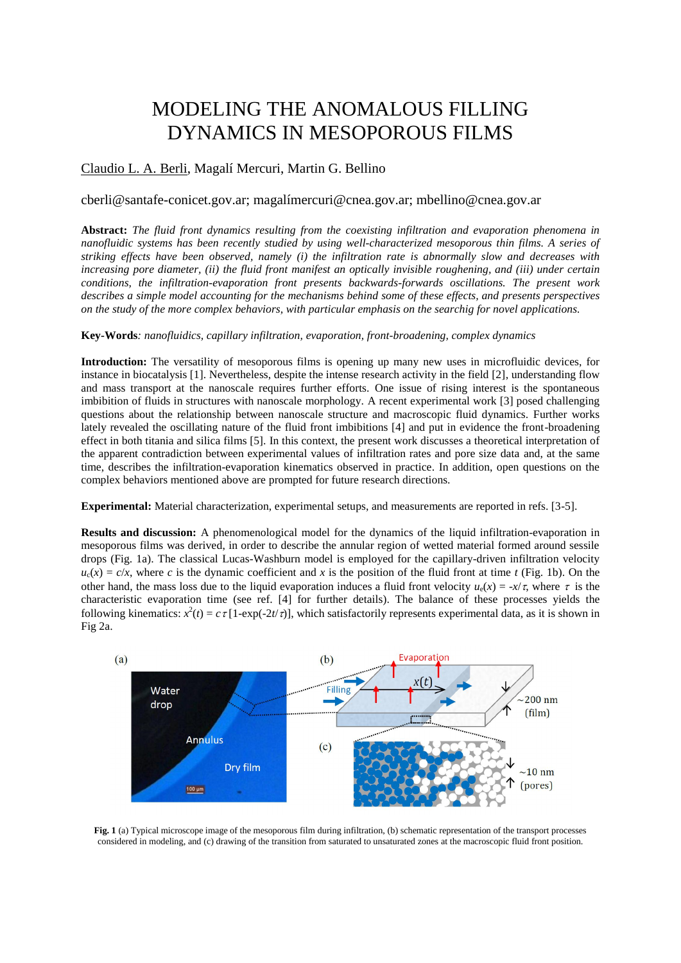# MODELING THE ANOMALOUS FILLING DYNAMICS IN MESOPOROUS FILMS

## Claudio L. A. Berli, Magalí Mercuri, Martin G. Bellino

### cberli@santafe-conicet.gov.ar; magalímercuri@cnea.gov.ar; mbellino@cnea.gov.ar

**Abstract:** *The fluid front dynamics resulting from the coexisting infiltration and evaporation phenomena in nanofluidic systems has been recently studied by using well-characterized mesoporous thin films. A series of striking effects have been observed, namely (i) the infiltration rate is abnormally slow and decreases with increasing pore diameter, (ii) the fluid front manifest an optically invisible roughening, and (iii) under certain conditions, the infiltration-evaporation front presents backwards-forwards oscillations. The present work describes a simple model accounting for the mechanisms behind some of these effects, and presents perspectives on the study of the more complex behaviors, with particular emphasis on the searchig for novel applications.* 

#### **Key-Words***: nanofluidics, capillary infiltration, evaporation, front-broadening, complex dynamics*

**Introduction:** The versatility of mesoporous films is opening up many new uses in microfluidic devices, for instance in biocatalysis [1]. Nevertheless, despite the intense research activity in the field [2], understanding flow and mass transport at the nanoscale requires further efforts. One issue of rising interest is the spontaneous imbibition of fluids in structures with nanoscale morphology. A recent experimental work [3] posed challenging questions about the relationship between nanoscale structure and macroscopic fluid dynamics. Further works lately revealed the oscillating nature of the fluid front imbibitions [4] and put in evidence the front-broadening effect in both titania and silica films [5]. In this context, the present work discusses a theoretical interpretation of the apparent contradiction between experimental values of infiltration rates and pore size data and, at the same time, describes the infiltration-evaporation kinematics observed in practice. In addition, open questions on the complex behaviors mentioned above are prompted for future research directions.

**Experimental:** Material characterization, experimental setups, and measurements are reported in refs. [3-5].

**Results and discussion:** A phenomenological model for the dynamics of the liquid infiltration-evaporation in mesoporous films was derived, in order to describe the annular region of wetted material formed around sessile drops (Fig. 1a). The classical Lucas-Washburn model is employed for the capillary-driven infiltration velocity  $u_c(x) = c/x$ , where *c* is the dynamic coefficient and *x* is the position of the fluid front at time *t* (Fig. 1b). On the other hand, the mass loss due to the liquid evaporation induces a fluid front velocity  $u_e(x) = -x/\tau$ , where  $\tau$  is the characteristic evaporation time (see ref. [4] for further details). The balance of these processes yields the following kinematics:  $x^2(t) = c \tau [1-\exp(-2t/\tau)]$ , which satisfactorily represents experimental data, as it is shown in Fig 2a.



**Fig. 1** (a) Typical microscope image of the mesoporous film during infiltration, (b) schematic representation of the transport processes considered in modeling, and (c) drawing of the transition from saturated to unsaturated zones at the macroscopic fluid front position.